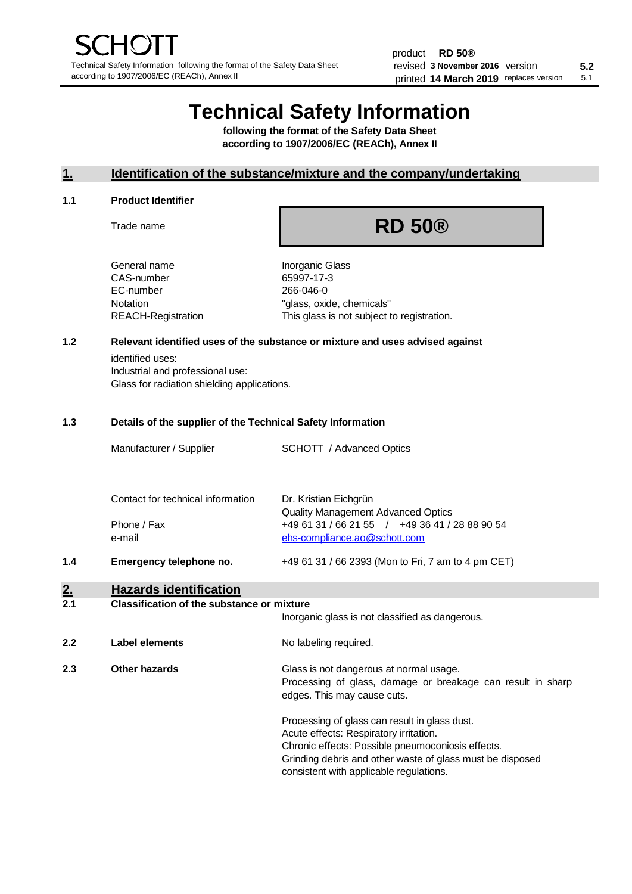# **Technical Safety Information**

**following the format of the Safety Data Sheet according to 1907/2006/EC (REACh), Annex II**

# **1. Identification of the substance/mixture and the company/undertaking**

#### **1.1 Product Identifier**

Trade name

# **RD 50®**

General name **Inorganic Glass** CAS-number 65997-17-3 EC-number 266-046-0

Notation "glass, oxide, chemicals" REACH-Registration This glass is not subject to registration.

# **1.2 Relevant identified uses of the substance or mixture and uses advised against**

identified uses: Industrial and professional use: Glass for radiation shielding applications.

### **1.3 Details of the supplier of the Technical Safety Information**

|                  | Manufacturer / Supplier                                    | SCHOTT / Advanced Optics                                                                                                                                                                                                                             |
|------------------|------------------------------------------------------------|------------------------------------------------------------------------------------------------------------------------------------------------------------------------------------------------------------------------------------------------------|
|                  | Contact for technical information<br>Phone / Fax<br>e-mail | Dr. Kristian Eichgrün<br><b>Quality Management Advanced Optics</b><br>+49 61 31 / 66 21 55 / +49 36 41 / 28 88 90 54<br>ehs-compliance.ao@schott.com                                                                                                 |
| 1.4              | Emergency telephone no.                                    | +49 61 31 / 66 2393 (Mon to Fri, 7 am to 4 pm CET)                                                                                                                                                                                                   |
| <u>2.</u><br>2.1 | <b>Hazards identification</b>                              |                                                                                                                                                                                                                                                      |
|                  | <b>Classification of the substance or mixture</b>          |                                                                                                                                                                                                                                                      |
|                  |                                                            | Inorganic glass is not classified as dangerous.                                                                                                                                                                                                      |
| 2.2              | <b>Label elements</b>                                      | No labeling required.                                                                                                                                                                                                                                |
| 2.3              | Other hazards                                              | Glass is not dangerous at normal usage.<br>Processing of glass, damage or breakage can result in sharp<br>edges. This may cause cuts.                                                                                                                |
|                  |                                                            | Processing of glass can result in glass dust.<br>Acute effects: Respiratory irritation.<br>Chronic effects: Possible pneumoconiosis effects.<br>Grinding debris and other waste of glass must be disposed<br>consistent with applicable regulations. |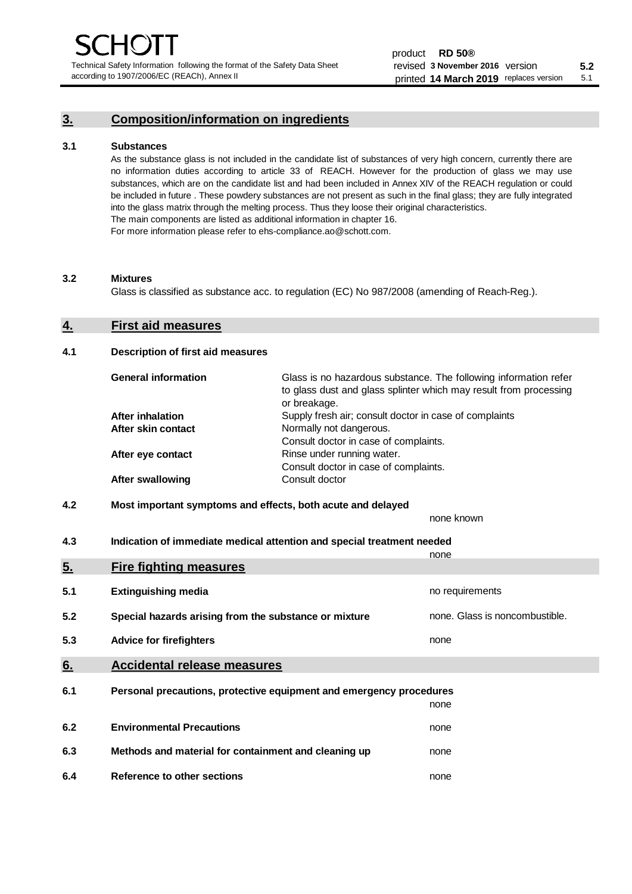Technical Safety Information following the format of the Safety Data Sheet according to 1907/2006/EC (REACh), Annex II

# **3. Composition/information on ingredients**

### **3.1 Substances**

As the substance glass is not included in the candidate list of substances of very high concern, currently there are no information duties according to article 33 of REACH. However for the production of glass we may use substances, which are on the candidate list and had been included in Annex XIV of the REACH regulation or could be included in future . These powdery substances are not present as such in the final glass; they are fully integrated into the glass matrix through the melting process. Thus they loose their original characteristics. The main components are listed as additional information in chapter 16. For more information please refer to ehs-compliance.ao@schott.com.

#### **3.2 Mixtures**

Glass is classified as substance acc. to regulation (EC) No 987/2008 (amending of Reach-Reg.).

# **4. First aid measures**

### **4.1 Description of first aid measures**

| <b>General information</b> | Glass is no hazardous substance. The following information refer<br>to glass dust and glass splinter which may result from processing<br>or breakage. |
|----------------------------|-------------------------------------------------------------------------------------------------------------------------------------------------------|
| <b>After inhalation</b>    | Supply fresh air; consult doctor in case of complaints                                                                                                |
| After skin contact         | Normally not dangerous.                                                                                                                               |
|                            | Consult doctor in case of complaints.                                                                                                                 |
| After eye contact          | Rinse under running water.                                                                                                                            |
|                            | Consult doctor in case of complaints.                                                                                                                 |
| <b>After swallowing</b>    | Consult doctor                                                                                                                                        |

# **4.2 Most important symptoms and effects, both acute and delayed**

none known **4.3 Indication of immediate medical attention and special treatment needed** 

|     |                                                                     | none                           |
|-----|---------------------------------------------------------------------|--------------------------------|
| 5.  | <b>Fire fighting measures</b>                                       |                                |
| 5.1 | <b>Extinguishing media</b>                                          | no requirements                |
| 5.2 | Special hazards arising from the substance or mixture               | none. Glass is noncombustible. |
| 5.3 | <b>Advice for firefighters</b>                                      | none                           |
| 6.  | <b>Accidental release measures</b>                                  |                                |
| 6.1 | Personal precautions, protective equipment and emergency procedures |                                |
|     |                                                                     | none                           |
| 6.2 | <b>Environmental Precautions</b>                                    | none                           |
| 6.3 | Methods and material for containment and cleaning up                | none                           |
| 6.4 | Reference to other sections                                         | none                           |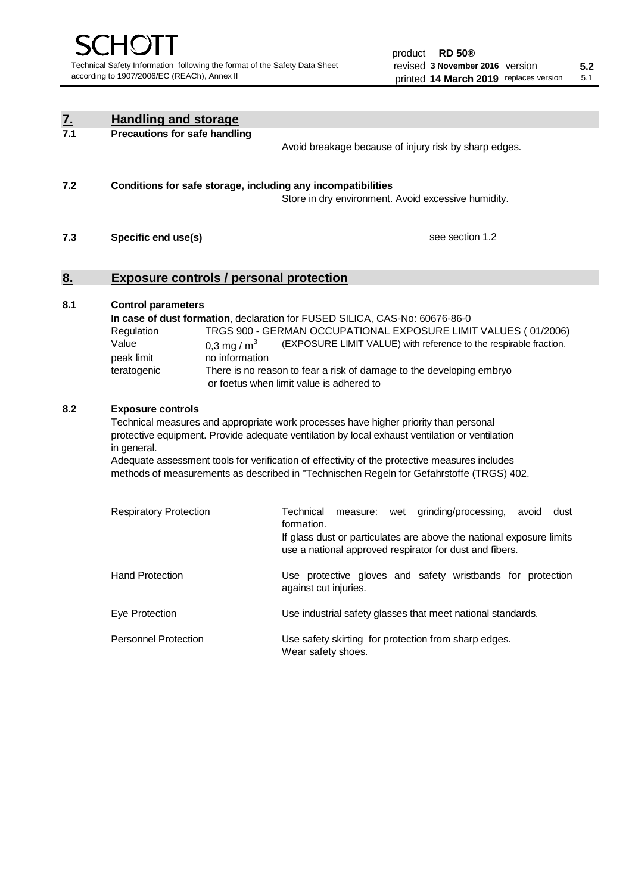| <u>z.</u> | <b>Handling and storage</b>                                                                                                                                                                                                                                                                                                                                                                                                    |                                                                                                                                                                                                                                                                                                                                        |  |  |
|-----------|--------------------------------------------------------------------------------------------------------------------------------------------------------------------------------------------------------------------------------------------------------------------------------------------------------------------------------------------------------------------------------------------------------------------------------|----------------------------------------------------------------------------------------------------------------------------------------------------------------------------------------------------------------------------------------------------------------------------------------------------------------------------------------|--|--|
| 7.1       | <b>Precautions for safe handling</b>                                                                                                                                                                                                                                                                                                                                                                                           | Avoid breakage because of injury risk by sharp edges.                                                                                                                                                                                                                                                                                  |  |  |
| 7.2       | Conditions for safe storage, including any incompatibilities                                                                                                                                                                                                                                                                                                                                                                   | Store in dry environment. Avoid excessive humidity.                                                                                                                                                                                                                                                                                    |  |  |
| 7.3       | Specific end use(s)                                                                                                                                                                                                                                                                                                                                                                                                            | see section 1.2                                                                                                                                                                                                                                                                                                                        |  |  |
| 8.        | <b>Exposure controls / personal protection</b>                                                                                                                                                                                                                                                                                                                                                                                 |                                                                                                                                                                                                                                                                                                                                        |  |  |
| 8.1       | <b>Control parameters</b><br>Regulation<br>Value<br>0,3 mg / $m3$<br>peak limit<br>no information<br>teratogenic                                                                                                                                                                                                                                                                                                               | In case of dust formation, declaration for FUSED SILICA, CAS-No: 60676-86-0<br>TRGS 900 - GERMAN OCCUPATIONAL EXPOSURE LIMIT VALUES (01/2006)<br>(EXPOSURE LIMIT VALUE) with reference to the respirable fraction.<br>There is no reason to fear a risk of damage to the developing embryo<br>or foetus when limit value is adhered to |  |  |
| 8.2       | <b>Exposure controls</b><br>Technical measures and appropriate work processes have higher priority than personal<br>protective equipment. Provide adequate ventilation by local exhaust ventilation or ventilation<br>in general.<br>Adequate assessment tools for verification of effectivity of the protective measures includes<br>methods of measurements as described in "Technischen Regeln for Gefahrstoffe (TRGS) 402. |                                                                                                                                                                                                                                                                                                                                        |  |  |
|           | <b>Respiratory Protection</b>                                                                                                                                                                                                                                                                                                                                                                                                  | Technical<br>grinding/processing,<br>dust<br>measure: wet<br>avoid<br>formation.<br>If glass dust or particulates are above the national exposure limits<br>use a national approved respirator for dust and fibers.                                                                                                                    |  |  |
|           | <b>Hand Protection</b>                                                                                                                                                                                                                                                                                                                                                                                                         | Use protective gloves and safety wristbands for protection<br>against cut injuries.                                                                                                                                                                                                                                                    |  |  |
|           | Eye Protection                                                                                                                                                                                                                                                                                                                                                                                                                 | Use industrial safety glasses that meet national standards.                                                                                                                                                                                                                                                                            |  |  |
|           | <b>Personnel Protection</b>                                                                                                                                                                                                                                                                                                                                                                                                    | Use safety skirting for protection from sharp edges.<br>Wear safety shoes.                                                                                                                                                                                                                                                             |  |  |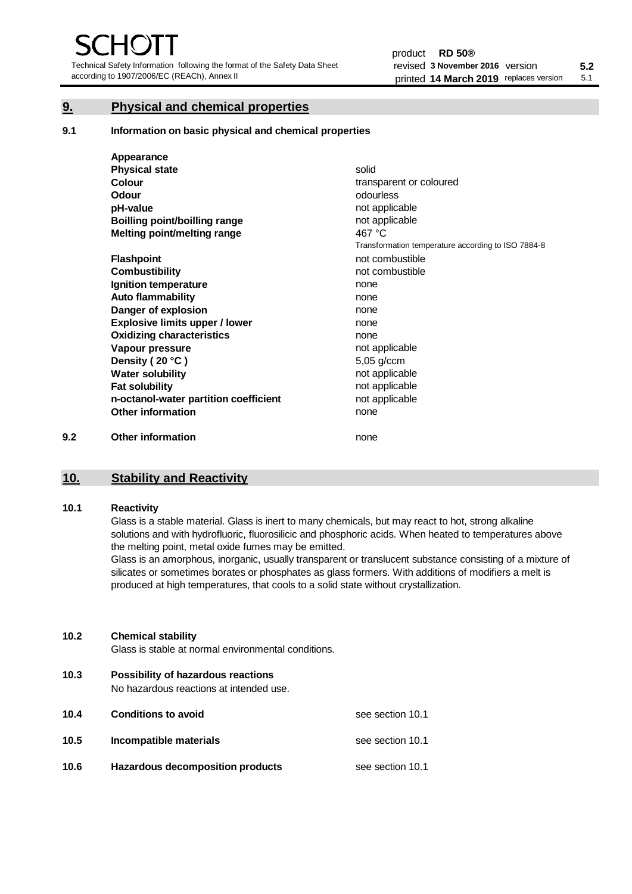Technical Safety Information following the format of the Safety Data Sheet according to 1907/2006/EC (REACh), Annex II

# **9. Physical and chemical properties**

**9.1 Information on basic physical and chemical properties**

|     | Appearance                            |                                                    |
|-----|---------------------------------------|----------------------------------------------------|
|     | <b>Physical state</b>                 | solid                                              |
|     | <b>Colour</b>                         | transparent or coloured                            |
|     | Odour                                 | odourless                                          |
|     | pH-value                              | not applicable                                     |
|     | <b>Boilling point/boilling range</b>  | not applicable                                     |
|     | Melting point/melting range           | 467 °C                                             |
|     |                                       | Transformation temperature according to ISO 7884-8 |
|     | <b>Flashpoint</b>                     | not combustible                                    |
|     | <b>Combustibility</b>                 | not combustible                                    |
|     | Ignition temperature                  | none                                               |
|     | <b>Auto flammability</b>              | none                                               |
|     | Danger of explosion                   | none                                               |
|     | <b>Explosive limits upper / lower</b> | none                                               |
|     | <b>Oxidizing characteristics</b>      | none                                               |
|     | Vapour pressure                       | not applicable                                     |
|     | Density (20 °C)                       | 5,05 g/ccm                                         |
|     | <b>Water solubility</b>               | not applicable                                     |
|     | <b>Fat solubility</b>                 | not applicable                                     |
|     | n-octanol-water partition coefficient | not applicable                                     |
|     | <b>Other information</b>              | none                                               |
| 9.2 | <b>Other information</b>              | none                                               |

# **10. Stability and Reactivity**

### **10.1 Reactivity**

Glass is a stable material. Glass is inert to many chemicals, but may react to hot, strong alkaline solutions and with hydrofluoric, fluorosilicic and phosphoric acids. When heated to temperatures above the melting point, metal oxide fumes may be emitted.

Glass is an amorphous, inorganic, usually transparent or translucent substance consisting of a mixture of silicates or sometimes borates or phosphates as glass formers. With additions of modifiers a melt is produced at high temperatures, that cools to a solid state without crystallization.

## **10.2 Chemical stability**

Glass is stable at normal environmental conditions.

**10.3 Possibility of hazardous reactions** 

No hazardous reactions at intended use.

| 10.4 | <b>Conditions to avoid</b>       | see section 10.1 |
|------|----------------------------------|------------------|
| 10.5 | Incompatible materials           | see section 10.1 |
| 10.6 | Hazardous decomposition products | see section 10.1 |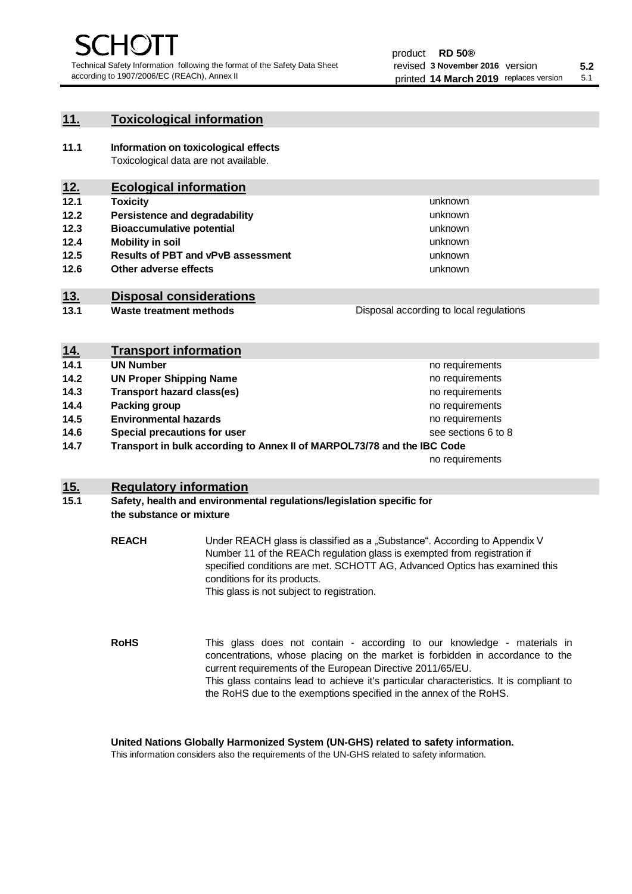unknown unknown unknown

unknown unknown unknown

Disposal according to local regulations

# **11. Toxicological information**

**11.1 Information on toxicological effects** Toxicological data are not available.

# **12. Ecological information**

- **12.1 Toxicity**
- **12.2 Persistence and degradability**
- **12.3 Bioaccumulative potential**
- **12.4 Mobility in soil**
- **12.5 Results of PBT and vPvB assessment**
- **12.6 Other adverse effects**

# **13. Disposal considerations**

**13.1 Waste treatment methods**

| <u>14.</u> | <b>Transport information</b>                                            |                     |
|------------|-------------------------------------------------------------------------|---------------------|
| 14.1       | <b>UN Number</b>                                                        | no requirements     |
| 14.2       | <b>UN Proper Shipping Name</b>                                          | no requirements     |
| 14.3       | <b>Transport hazard class(es)</b>                                       | no requirements     |
| 14.4       | Packing group                                                           | no requirements     |
| 14.5       | <b>Environmental hazards</b>                                            | no requirements     |
| 14.6       | Special precautions for user                                            | see sections 6 to 8 |
| 14.7       | Transport in bulk according to Annex II of MARPOL73/78 and the IBC Code |                     |
|            |                                                                         | no requirements     |

# **15. Regulatory information**

## **15.1 Safety, health and environmental regulations/legislation specific for the substance or mixture**

**REACH** Under REACH glass is classified as a "Substance". According to Appendix V Number 11 of the REACh regulation glass is exempted from registration if specified conditions are met. SCHOTT AG, Advanced Optics has examined this conditions for its products. This glass is not subject to registration.

**RoHS** This glass does not contain - according to our knowledge - materials in concentrations, whose placing on the market is forbidden in accordance to the current requirements of the European Directive 2011/65/EU. This glass contains lead to achieve it's particular characteristics. It is compliant to the RoHS due to the exemptions specified in the annex of the RoHS.

**United Nations Globally Harmonized System (UN-GHS) related to safety information.**

This information considers also the requirements of the UN-GHS related to safety information.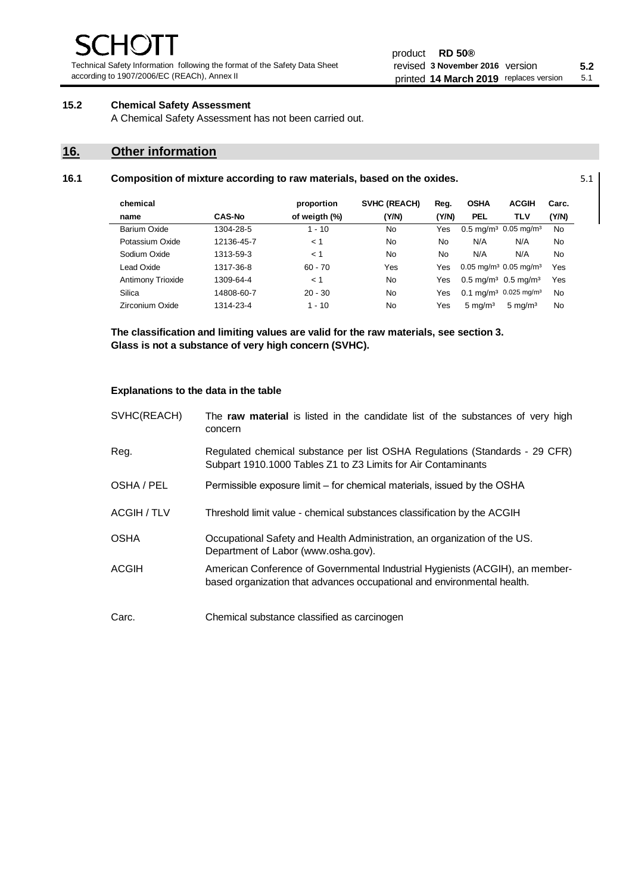Technical Safety Information following the format of the Safety Data Sheet according to 1907/2006/EC (REACh), Annex II

#### product **RD 50®** revised **5.2 3 November 2016** version printed 14 March 2019 replaces version 5.1

# **15.2 Chemical Safety Assessment**

A Chemical Safety Assessment has not been carried out.

# **16. Other information**

| 16.1 | Composition of mixture according to raw materials, based on the oxides. |  |
|------|-------------------------------------------------------------------------|--|
|------|-------------------------------------------------------------------------|--|

| chemical          |               | proportion    | SVHC (REACH) | Reg.  | <b>OSHA</b>                                     | <b>ACGIH</b>                                 | Carc.     |
|-------------------|---------------|---------------|--------------|-------|-------------------------------------------------|----------------------------------------------|-----------|
| name              | <b>CAS-No</b> | of weigth (%) | (Y/N)        | (Y/N) | <b>PEL</b>                                      | <b>TLV</b>                                   | (Y/N)     |
| Barium Oxide      | 1304-28-5     | $1 - 10$      | No           | Yes   |                                                 | $0.5 \text{ mg/m}^3$ 0.05 mg/m <sup>3</sup>  | <b>No</b> |
| Potassium Oxide   | 12136-45-7    | < 1           | No           | No    | N/A                                             | N/A                                          | No        |
| Sodium Oxide      | 1313-59-3     | < 1           | No           | No    | N/A                                             | N/A                                          | No        |
| Lead Oxide        | 1317-36-8     | $60 - 70$     | Yes          | Yes   | $0.05$ mg/m <sup>3</sup> 0.05 mg/m <sup>3</sup> |                                              | Yes       |
| Antimony Trioxide | 1309-64-4     | < 1           | No           | Yes   | $0.5 \text{ mq/m}^3$ 0.5 mg/m <sup>3</sup>      |                                              | Yes       |
| Silica            | 14808-60-7    | $20 - 30$     | No.          | Yes   |                                                 | $0.1 \text{ mq/m}^3$ 0.025 mg/m <sup>3</sup> | <b>No</b> |
| Zirconium Oxide   | 1314-23-4     | $1 - 10$      | No           | Yes   | $5 \text{ mg/m}^3$                              | $5 \text{ mg/m}^3$                           | No        |

**The classification and limiting values are valid for the raw materials, see section 3. Glass is not a substance of very high concern (SVHC).**

### **Explanations to the data in the table**

| SVHC(REACH) | The raw material is listed in the candidate list of the substances of very high<br>concern                                                               |
|-------------|----------------------------------------------------------------------------------------------------------------------------------------------------------|
| Reg.        | Regulated chemical substance per list OSHA Regulations (Standards - 29 CFR)<br>Subpart 1910.1000 Tables Z1 to Z3 Limits for Air Contaminants             |
| OSHA / PEL  | Permissible exposure limit – for chemical materials, issued by the OSHA                                                                                  |
| ACGIH / TLV | Threshold limit value - chemical substances classification by the ACGIH                                                                                  |
| <b>OSHA</b> | Occupational Safety and Health Administration, an organization of the US.<br>Department of Labor (www.osha.gov).                                         |
| ACGIH       | American Conference of Governmental Industrial Hygienists (ACGIH), an member-<br>based organization that advances occupational and environmental health. |
| Carc.       | Chemical substance classified as carcinogen                                                                                                              |